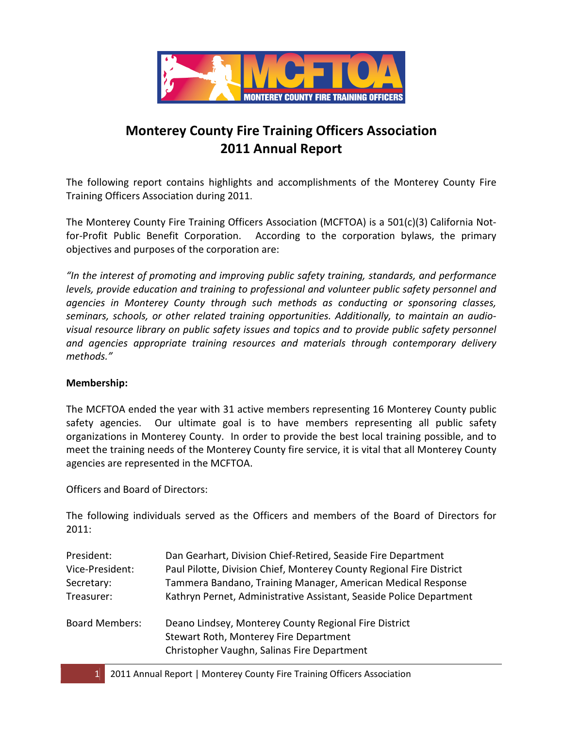

# Monterey County Fire Training Officers Association 2011 Annual Report

The following report contains highlights and accomplishments of the Monterey County Fire Training Officers Association during 2011.

The Monterey County Fire Training Officers Association (MCFTOA) is a 501(c)(3) California Notfor-Profit Public Benefit Corporation. According to the corporation bylaws, the primary objectives and purposes of the corporation are:

"In the interest of promoting and improving public safety training, standards, and performance levels, provide education and training to professional and volunteer public safety personnel and agencies in Monterey County through such methods as conducting or sponsoring classes, seminars, schools, or other related training opportunities. Additionally, to maintain an audiovisual resource library on public safety issues and topics and to provide public safety personnel and agencies appropriate training resources and materials through contemporary delivery methods."

#### Membership:

The MCFTOA ended the year with 31 active members representing 16 Monterey County public safety agencies. Our ultimate goal is to have members representing all public safety organizations in Monterey County. In order to provide the best local training possible, and to meet the training needs of the Monterey County fire service, it is vital that all Monterey County agencies are represented in the MCFTOA.

Officers and Board of Directors:

The following individuals served as the Officers and members of the Board of Directors for 2011:

| President:            | Dan Gearhart, Division Chief-Retired, Seaside Fire Department        |
|-----------------------|----------------------------------------------------------------------|
| Vice-President:       | Paul Pilotte, Division Chief, Monterey County Regional Fire District |
| Secretary:            | Tammera Bandano, Training Manager, American Medical Response         |
| Treasurer:            | Kathryn Pernet, Administrative Assistant, Seaside Police Department  |
| <b>Board Members:</b> | Deano Lindsey, Monterey County Regional Fire District                |
|                       | Stewart Roth, Monterey Fire Department                               |
|                       | Christopher Vaughn, Salinas Fire Department                          |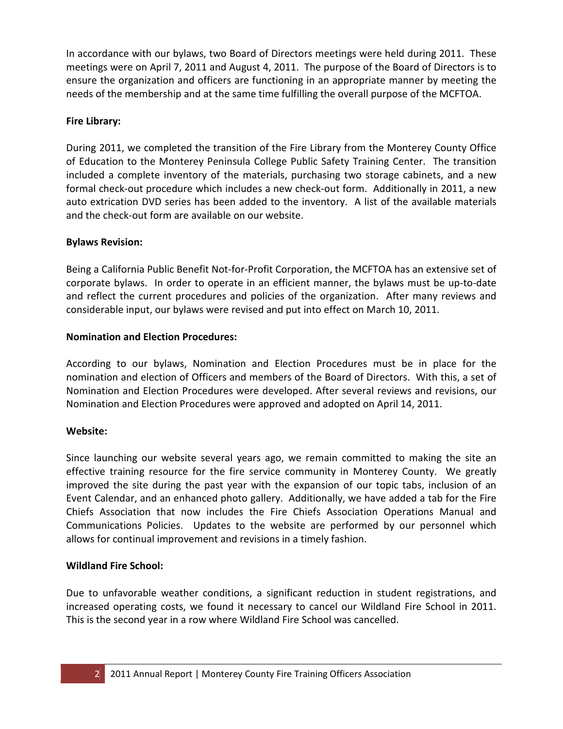In accordance with our bylaws, two Board of Directors meetings were held during 2011. These meetings were on April 7, 2011 and August 4, 2011. The purpose of the Board of Directors is to ensure the organization and officers are functioning in an appropriate manner by meeting the needs of the membership and at the same time fulfilling the overall purpose of the MCFTOA.

# Fire Library:

During 2011, we completed the transition of the Fire Library from the Monterey County Office of Education to the Monterey Peninsula College Public Safety Training Center. The transition included a complete inventory of the materials, purchasing two storage cabinets, and a new formal check-out procedure which includes a new check-out form. Additionally in 2011, a new auto extrication DVD series has been added to the inventory. A list of the available materials and the check-out form are available on our website.

# Bylaws Revision:

Being a California Public Benefit Not-for-Profit Corporation, the MCFTOA has an extensive set of corporate bylaws. In order to operate in an efficient manner, the bylaws must be up-to-date and reflect the current procedures and policies of the organization. After many reviews and considerable input, our bylaws were revised and put into effect on March 10, 2011.

# Nomination and Election Procedures:

According to our bylaws, Nomination and Election Procedures must be in place for the nomination and election of Officers and members of the Board of Directors. With this, a set of Nomination and Election Procedures were developed. After several reviews and revisions, our Nomination and Election Procedures were approved and adopted on April 14, 2011.

#### Website:

Since launching our website several years ago, we remain committed to making the site an effective training resource for the fire service community in Monterey County. We greatly improved the site during the past year with the expansion of our topic tabs, inclusion of an Event Calendar, and an enhanced photo gallery. Additionally, we have added a tab for the Fire Chiefs Association that now includes the Fire Chiefs Association Operations Manual and Communications Policies. Updates to the website are performed by our personnel which allows for continual improvement and revisions in a timely fashion.

#### Wildland Fire School:

Due to unfavorable weather conditions, a significant reduction in student registrations, and increased operating costs, we found it necessary to cancel our Wildland Fire School in 2011. This is the second year in a row where Wildland Fire School was cancelled.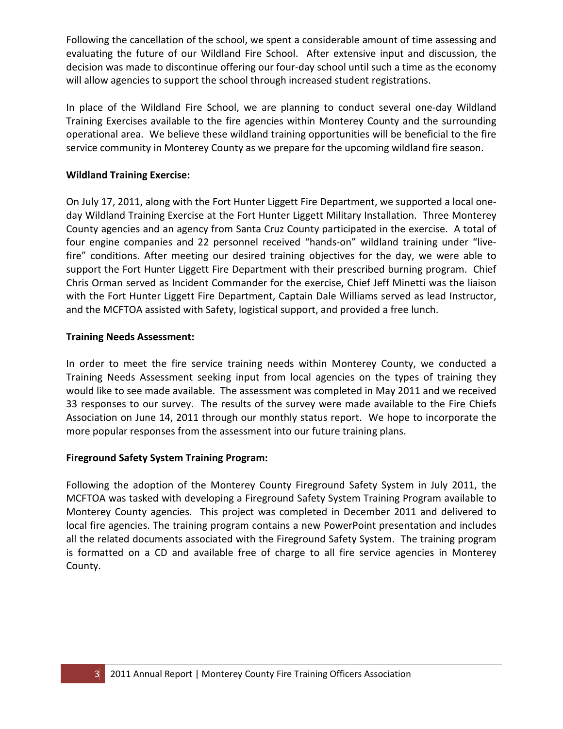Following the cancellation of the school, we spent a considerable amount of time assessing and evaluating the future of our Wildland Fire School. After extensive input and discussion, the decision was made to discontinue offering our four-day school until such a time as the economy will allow agencies to support the school through increased student registrations.

In place of the Wildland Fire School, we are planning to conduct several one-day Wildland Training Exercises available to the fire agencies within Monterey County and the surrounding operational area. We believe these wildland training opportunities will be beneficial to the fire service community in Monterey County as we prepare for the upcoming wildland fire season.

### Wildland Training Exercise:

On July 17, 2011, along with the Fort Hunter Liggett Fire Department, we supported a local oneday Wildland Training Exercise at the Fort Hunter Liggett Military Installation. Three Monterey County agencies and an agency from Santa Cruz County participated in the exercise. A total of four engine companies and 22 personnel received "hands-on" wildland training under "livefire" conditions. After meeting our desired training objectives for the day, we were able to support the Fort Hunter Liggett Fire Department with their prescribed burning program. Chief Chris Orman served as Incident Commander for the exercise, Chief Jeff Minetti was the liaison with the Fort Hunter Liggett Fire Department, Captain Dale Williams served as lead Instructor, and the MCFTOA assisted with Safety, logistical support, and provided a free lunch.

#### Training Needs Assessment:

In order to meet the fire service training needs within Monterey County, we conducted a Training Needs Assessment seeking input from local agencies on the types of training they would like to see made available. The assessment was completed in May 2011 and we received 33 responses to our survey. The results of the survey were made available to the Fire Chiefs Association on June 14, 2011 through our monthly status report. We hope to incorporate the more popular responses from the assessment into our future training plans.

#### Fireground Safety System Training Program:

Following the adoption of the Monterey County Fireground Safety System in July 2011, the MCFTOA was tasked with developing a Fireground Safety System Training Program available to Monterey County agencies. This project was completed in December 2011 and delivered to local fire agencies. The training program contains a new PowerPoint presentation and includes all the related documents associated with the Fireground Safety System. The training program is formatted on a CD and available free of charge to all fire service agencies in Monterey County.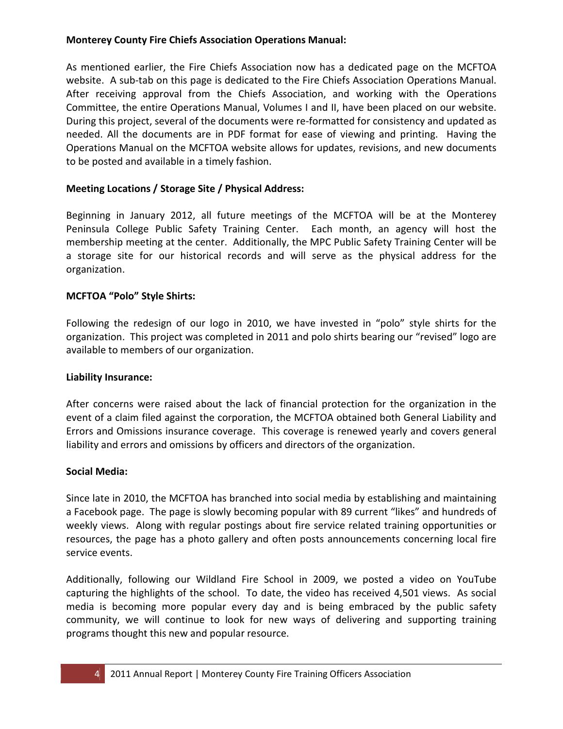#### Monterey County Fire Chiefs Association Operations Manual:

As mentioned earlier, the Fire Chiefs Association now has a dedicated page on the MCFTOA website. A sub-tab on this page is dedicated to the Fire Chiefs Association Operations Manual. After receiving approval from the Chiefs Association, and working with the Operations Committee, the entire Operations Manual, Volumes I and II, have been placed on our website. During this project, several of the documents were re-formatted for consistency and updated as needed. All the documents are in PDF format for ease of viewing and printing. Having the Operations Manual on the MCFTOA website allows for updates, revisions, and new documents to be posted and available in a timely fashion.

# Meeting Locations / Storage Site / Physical Address:

Beginning in January 2012, all future meetings of the MCFTOA will be at the Monterey Peninsula College Public Safety Training Center. Each month, an agency will host the membership meeting at the center. Additionally, the MPC Public Safety Training Center will be a storage site for our historical records and will serve as the physical address for the organization.

# MCFTOA "Polo" Style Shirts:

Following the redesign of our logo in 2010, we have invested in "polo" style shirts for the organization. This project was completed in 2011 and polo shirts bearing our "revised" logo are available to members of our organization.

#### Liability Insurance:

After concerns were raised about the lack of financial protection for the organization in the event of a claim filed against the corporation, the MCFTOA obtained both General Liability and Errors and Omissions insurance coverage. This coverage is renewed yearly and covers general liability and errors and omissions by officers and directors of the organization.

#### Social Media:

Since late in 2010, the MCFTOA has branched into social media by establishing and maintaining a Facebook page. The page is slowly becoming popular with 89 current "likes" and hundreds of weekly views. Along with regular postings about fire service related training opportunities or resources, the page has a photo gallery and often posts announcements concerning local fire service events.

Additionally, following our Wildland Fire School in 2009, we posted a video on YouTube capturing the highlights of the school. To date, the video has received 4,501 views. As social media is becoming more popular every day and is being embraced by the public safety community, we will continue to look for new ways of delivering and supporting training programs thought this new and popular resource.